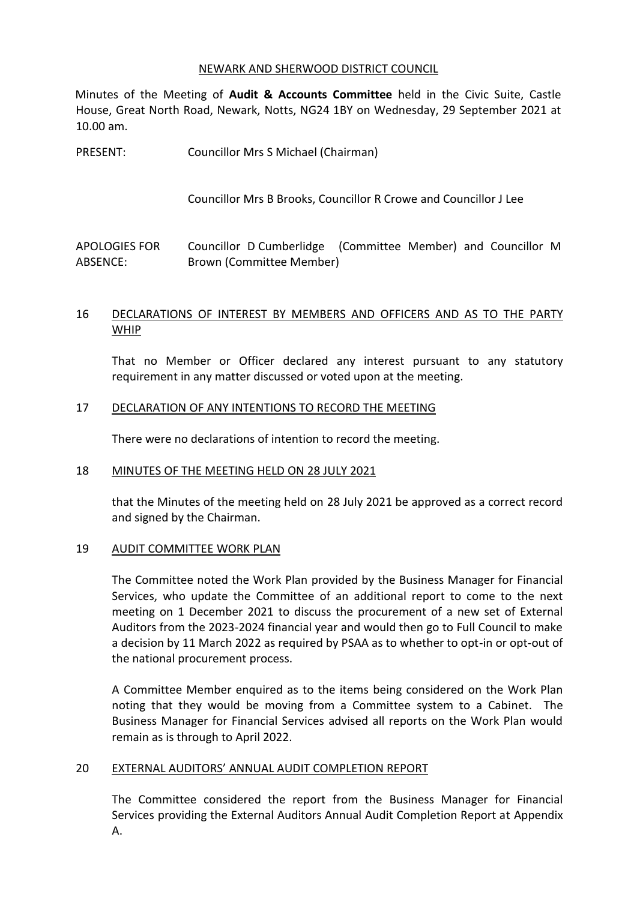#### NEWARK AND SHERWOOD DISTRICT COUNCIL

Minutes of the Meeting of **Audit & Accounts Committee** held in the Civic Suite, Castle House, Great North Road, Newark, Notts, NG24 1BY on Wednesday, 29 September 2021 at 10.00 am.

PRESENT: Councillor Mrs S Michael (Chairman)

Councillor Mrs B Brooks, Councillor R Crowe and Councillor J Lee

APOLOGIES FOR ABSENCE: Councillor D Cumberlidge (Committee Member) and Councillor M Brown (Committee Member)

# 16 DECLARATIONS OF INTEREST BY MEMBERS AND OFFICERS AND AS TO THE PARTY WHIP

That no Member or Officer declared any interest pursuant to any statutory requirement in any matter discussed or voted upon at the meeting.

# 17 DECLARATION OF ANY INTENTIONS TO RECORD THE MEETING

There were no declarations of intention to record the meeting.

#### 18 MINUTES OF THE MEETING HELD ON 28 JULY 2021

that the Minutes of the meeting held on 28 July 2021 be approved as a correct record and signed by the Chairman.

# 19 AUDIT COMMITTEE WORK PLAN

The Committee noted the Work Plan provided by the Business Manager for Financial Services, who update the Committee of an additional report to come to the next meeting on 1 December 2021 to discuss the procurement of a new set of External Auditors from the 2023-2024 financial year and would then go to Full Council to make a decision by 11 March 2022 as required by PSAA as to whether to opt-in or opt-out of the national procurement process.

A Committee Member enquired as to the items being considered on the Work Plan noting that they would be moving from a Committee system to a Cabinet. The Business Manager for Financial Services advised all reports on the Work Plan would remain as is through to April 2022.

# 20 EXTERNAL AUDITORS' ANNUAL AUDIT COMPLETION REPORT

The Committee considered the report from the Business Manager for Financial Services providing the External Auditors Annual Audit Completion Report at Appendix A.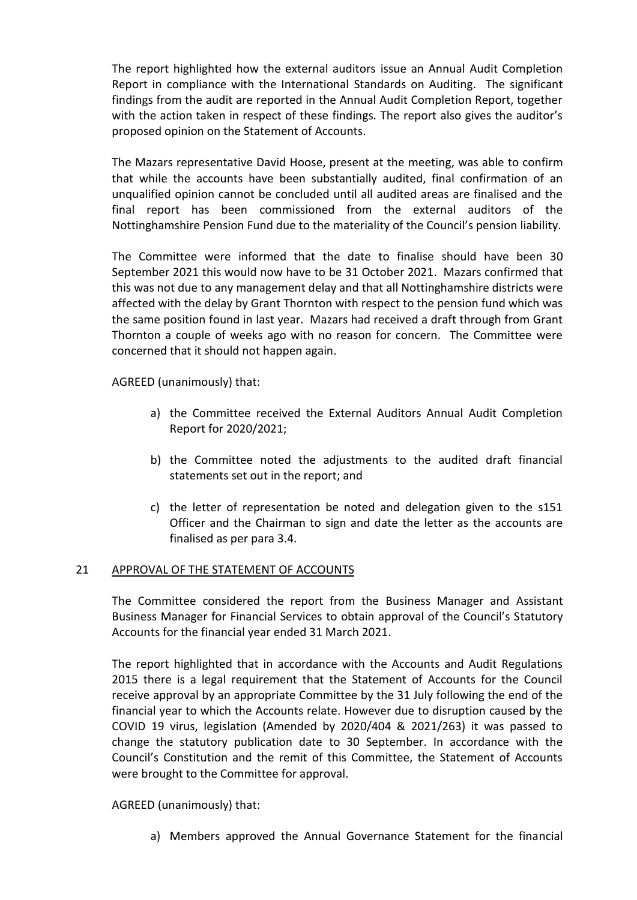The report highlighted how the external auditors issue an Annual Audit Completion Report in compliance with the International Standards on Auditing. The significant findings from the audit are reported in the Annual Audit Completion Report, together with the action taken in respect of these findings. The report also gives the auditor's proposed opinion on the Statement of Accounts.

The Mazars representative David Hoose, present at the meeting, was able to confirm that while the accounts have been substantially audited, final confirmation of an unqualified opinion cannot be concluded until all audited areas are finalised and the final report has been commissioned from the external auditors of the Nottinghamshire Pension Fund due to the materiality of the Council's pension liability.

The Committee were informed that the date to finalise should have been 30 September 2021 this would now have to be 31 October 2021. Mazars confirmed that this was not due to any management delay and that all Nottinghamshire districts were affected with the delay by Grant Thornton with respect to the pension fund which was the same position found in last year. Mazars had received a draft through from Grant Thornton a couple of weeks ago with no reason for concern. The Committee were concerned that it should not happen again.

AGREED (unanimously) that:

- a) the Committee received the External Auditors Annual Audit Completion Report for 2020/2021;
- b) the Committee noted the adjustments to the audited draft financial statements set out in the report; and
- c) the letter of representation be noted and delegation given to the s151 Officer and the Chairman to sign and date the letter as the accounts are finalised as per para 3.4.

# 21 APPROVAL OF THE STATEMENT OF ACCOUNTS

The Committee considered the report from the Business Manager and Assistant Business Manager for Financial Services to obtain approval of the Council's Statutory Accounts for the financial year ended 31 March 2021.

The report highlighted that in accordance with the Accounts and Audit Regulations 2015 there is a legal requirement that the Statement of Accounts for the Council receive approval by an appropriate Committee by the 31 July following the end of the financial year to which the Accounts relate. However due to disruption caused by the COVID 19 virus, legislation (Amended by 2020/404 & 2021/263) it was passed to change the statutory publication date to 30 September. In accordance with the Council's Constitution and the remit of this Committee, the Statement of Accounts were brought to the Committee for approval.

# AGREED (unanimously) that:

a) Members approved the Annual Governance Statement for the financial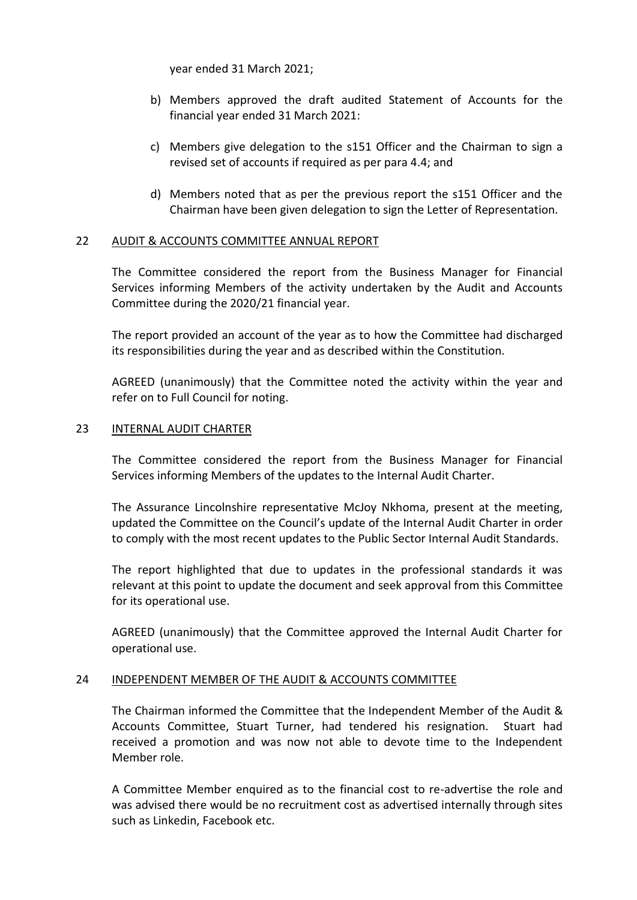year ended 31 March 2021;

- b) Members approved the draft audited Statement of Accounts for the financial year ended 31 March 2021:
- c) Members give delegation to the s151 Officer and the Chairman to sign a revised set of accounts if required as per para 4.4; and
- d) Members noted that as per the previous report the s151 Officer and the Chairman have been given delegation to sign the Letter of Representation.

#### 22 AUDIT & ACCOUNTS COMMITTEE ANNUAL REPORT

The Committee considered the report from the Business Manager for Financial Services informing Members of the activity undertaken by the Audit and Accounts Committee during the 2020/21 financial year.

The report provided an account of the year as to how the Committee had discharged its responsibilities during the year and as described within the Constitution.

AGREED (unanimously) that the Committee noted the activity within the year and refer on to Full Council for noting.

#### 23 INTERNAL AUDIT CHARTER

The Committee considered the report from the Business Manager for Financial Services informing Members of the updates to the Internal Audit Charter.

The Assurance Lincolnshire representative McJoy Nkhoma, present at the meeting, updated the Committee on the Council's update of the Internal Audit Charter in order to comply with the most recent updates to the Public Sector Internal Audit Standards.

The report highlighted that due to updates in the professional standards it was relevant at this point to update the document and seek approval from this Committee for its operational use.

AGREED (unanimously) that the Committee approved the Internal Audit Charter for operational use.

#### 24 INDEPENDENT MEMBER OF THE AUDIT & ACCOUNTS COMMITTEE

The Chairman informed the Committee that the Independent Member of the Audit & Accounts Committee, Stuart Turner, had tendered his resignation. Stuart had received a promotion and was now not able to devote time to the Independent Member role.

A Committee Member enquired as to the financial cost to re-advertise the role and was advised there would be no recruitment cost as advertised internally through sites such as Linkedin, Facebook etc.